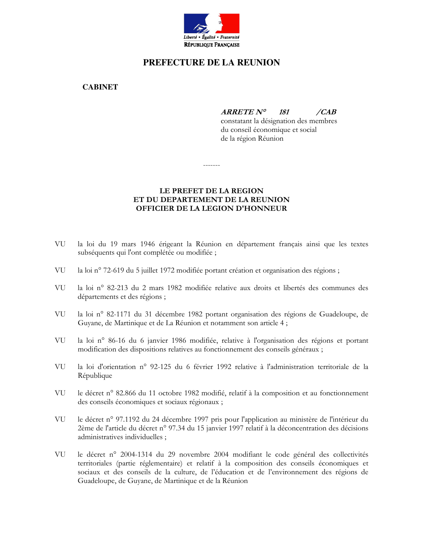

## PREFECTURE DE LA REUNION

**CABINET** 

 $ARRETE N<sup>o</sup>$ 181  $\angle CAB$ 

constatant la désignation des membres du conseil économique et social de la région Réunion

LE PREFET DE LA REGION ET DU DEPARTEMENT DE LA REUNION

OFFICIER DE LA LEGION D'HONNEUR

-------

## VU la loi du 19 mars 1946 érigeant la Réunion en département français ainsi que les textes

VUla loi n° 72-619 du 5 juillet 1972 modifiée portant création et organisation des régions;

subséquents qui l'ont complétée ou modifiée ;

- VU la loi n° 82-213 du 2 mars 1982 modifiée relative aux droits et libertés des communes des départements et des régions;
- VU la loi nº 82-1171 du 31 décembre 1982 portant organisation des régions de Guadeloupe, de Guyane, de Martinique et de La Réunion et notamment son article 4;
- VU la loi nº 86-16 du 6 janvier 1986 modifiée, relative à l'organisation des régions et portant modification des dispositions relatives au fonctionnement des conseils généraux ;
- VUla loi d'orientation n° 92-125 du 6 février 1992 relative à l'administration territoriale de la République
- VU le décret n° 82.866 du 11 octobre 1982 modifié, relatif à la composition et au fonctionnement des conseils économiques et sociaux régionaux ;
- VU le décret n° 97.1192 du 24 décembre 1997 pris pour l'application au ministère de l'intérieur du 2ème de l'article du décret n° 97.34 du 15 janvier 1997 relatif à la déconcentration des décisions administratives individuelles;
- le décret n° 2004-1314 du 29 novembre 2004 modifiant le code général des collectivités VU territoriales (partie réglementaire) et relatif à la composition des conseils économiques et sociaux et des conseils de la culture, de l'éducation et de l'environnement des régions de Guadeloupe, de Guyane, de Martinique et de la Réunion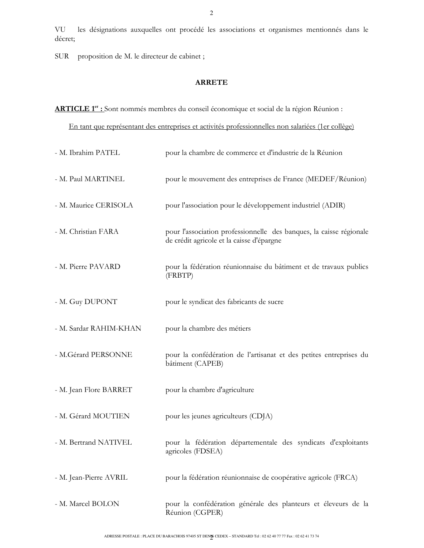VU les désignations auxquelles ont procédé les associations et organismes mentionnés dans le décret;

SUR proposition de M. le directeur de cabinet;

## **ARRETE**

ARTICLE 1<sup>er</sup> : Sont nommés membres du conseil économique et social de la région Réunion :

En tant que représentant des entreprises et activités professionnelles non salariées (1er collège)

| - M. Ibrahim PATEL     | pour la chambre de commerce et d'industrie de la Réunion                                                         |
|------------------------|------------------------------------------------------------------------------------------------------------------|
| - M. Paul MARTINEL     | pour le mouvement des entreprises de France (MEDEF/Réunion)                                                      |
| - M. Maurice CERISOLA  | pour l'association pour le développement industriel (ADIR)                                                       |
| - M. Christian FARA    | pour l'association professionnelle des banques, la caisse régionale<br>de crédit agricole et la caisse d'épargne |
| - M. Pierre PAVARD     | pour la fédération réunionnaise du bâtiment et de travaux publics<br>(FRBTP)                                     |
| - M. Guy DUPONT        | pour le syndicat des fabricants de sucre                                                                         |
| - M. Sardar RAHIM-KHAN | pour la chambre des métiers                                                                                      |
| - M.Gérard PERSONNE    | pour la confédération de l'artisanat et des petites entreprises du<br>bâtiment (CAPEB)                           |
| - M. Jean Flore BARRET | pour la chambre d'agriculture                                                                                    |
| - M. Gérard MOUTIEN    | pour les jeunes agriculteurs (CDJA)                                                                              |
| - M. Bertrand NATIVEL  | pour la fédération départementale des syndicats d'exploitants<br>agricoles (FDSEA)                               |
| - M. Jean-Pierre AVRIL | pour la fédération réunionnaise de coopérative agricole (FRCA)                                                   |
| - M. Marcel BOLON      | pour la confédération générale des planteurs et éleveurs de la<br>Réunion (CGPER)                                |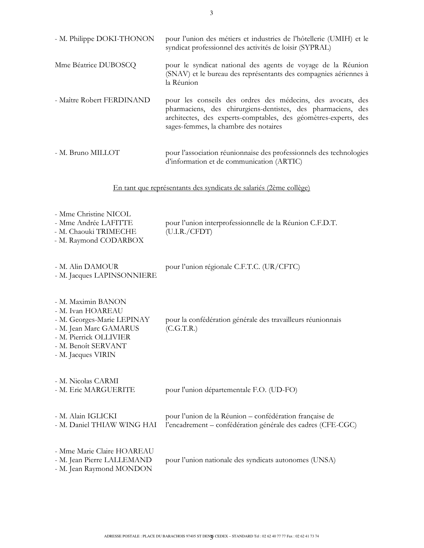| - M. Philippe DOKI-THONON                                                                       | pour l'union des métiers et industries de l'hôtellerie (UMIH) et le<br>syndicat professionnel des activités de loisir (SYPRAL)                                                                                                          |  |
|-------------------------------------------------------------------------------------------------|-----------------------------------------------------------------------------------------------------------------------------------------------------------------------------------------------------------------------------------------|--|
| Mme Béatrice DUBOSCQ                                                                            | pour le syndicat national des agents de voyage de la Réunion<br>(SNAV) et le bureau des représentants des compagnies aériennes à<br>la Réunion                                                                                          |  |
| - Maître Robert FERDINAND                                                                       | pour les conseils des ordres des médecins, des avocats, des<br>pharmaciens, des chirurgiens-dentistes, des pharmaciens, des<br>architectes, des experts-comptables, des géomètres-experts, des<br>sages-femmes, la chambre des notaires |  |
| - M. Bruno MILLOT                                                                               | pour l'association réunionnaise des professionnels des technologies<br>d'information et de communication (ARTIC)                                                                                                                        |  |
| En tant que représentants des syndicats de salariés (2ème collège)                              |                                                                                                                                                                                                                                         |  |
| - Mme Christine NICOL<br>- Mme Andrée LAFITTE<br>- M. Chaouki TRIMECHE<br>- M. Raymond CODARBOX | pour l'union interprofessionnelle de la Réunion C.F.D.T.<br>(U.I.R./CFDT)                                                                                                                                                               |  |
| - M. Alin DAMOUR<br>- M. Jacques LAPINSONNIERE                                                  | pour l'union régionale C.F.T.C. (UR/CFTC)                                                                                                                                                                                               |  |
| - M. Maximin BANON<br>- M. Ivan HOAREAU<br>- M. Georges-Marie LEPINAY<br>- M. Jean Marc GAMARUS | pour la confédération générale des travailleurs réunionnais<br>(C.G.T.R.)                                                                                                                                                               |  |

- M. Pierrick OLLIVIER - M. Benoît SERVANT
- M. Jacques VIRIN

| - M. Nicolas CARMI<br>- M. Eric MARGUERITE                                           | pour l'union départementale F.O. (UD-FO)                                                                               |
|--------------------------------------------------------------------------------------|------------------------------------------------------------------------------------------------------------------------|
| - M. Alain IGLICKI<br>- M. Daniel THIAW WING HAI                                     | pour l'union de la Réunion – confédération française de<br>l'encadrement - confédération générale des cadres (CFE-CGC) |
| - Mme Marie Claire HOAREAU<br>- M. Jean Pierre LALLEMAND<br>- M. Jean Raymond MONDON | pour l'union nationale des syndicats autonomes (UNSA)                                                                  |

 $\overline{3}$